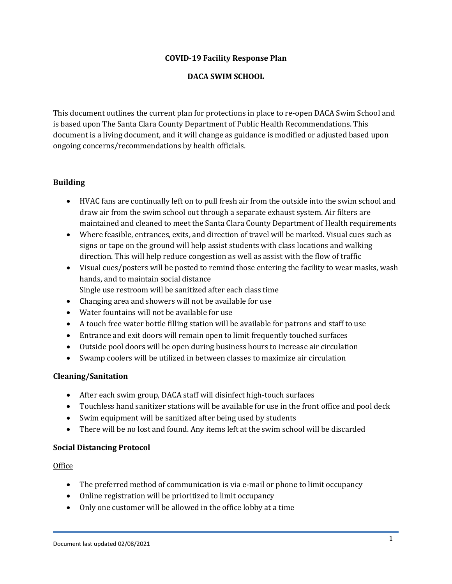### **COVID-19 Facility Response Plan**

### **DACA SWIM SCHOOL**

This document outlines the current plan for protections in place to re-open DACA Swim School and is based upon The Santa Clara County Department of Public Health Recommendations. This document is a living document, and it will change as guidance is modified or adjusted based upon ongoing concerns/recommendations by health officials.

## **Building**

- HVAC fans are continually left on to pull fresh air from the outside into the swim school and draw air from the swim school out through a separate exhaust system. Air filters are maintained and cleaned to meet the Santa Clara County Department of Health requirements
- Where feasible, entrances, exits, and direction of travel will be marked. Visual cues such as signs or tape on the ground will help assist students with class locations and walking direction. This will help reduce congestion as well as assist with the flow of traffic
- Visual cues/posters will be posted to remind those entering the facility to wear masks, wash hands, and to maintain social distance Single use restroom will be sanitized after each class time
- Changing area and showers will not be available for use
- Water fountains will not be available for use
- A touch free water bottle filling station will be available for patrons and staff to use
- Entrance and exit doors will remain open to limit frequently touched surfaces
- Outside pool doors will be open during business hours to increase air circulation
- Swamp coolers will be utilized in between classes to maximize air circulation

# **Cleaning/Sanitation**

- After each swim group, DACA staff will disinfect high-touch surfaces
- Touchless hand sanitizer stations will be available for use in the front office and pool deck
- Swim equipment will be sanitized after being used by students
- There will be no lost and found. Any items left at the swim school will be discarded

# **Social Distancing Protocol**

### **Office**

- The preferred method of communication is via e-mail or phone to limit occupancy
- Online registration will be prioritized to limit occupancy
- Only one customer will be allowed in the office lobby at a time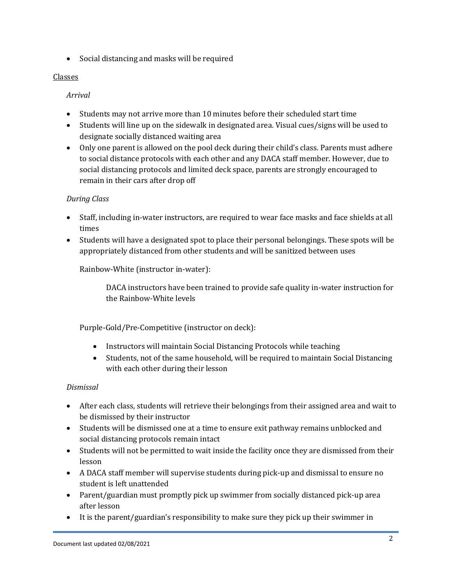• Social distancing and masks will be required

# Classes

*Arrival*

- Students may not arrive more than 10 minutes before their scheduled start time
- Students will line up on the sidewalk in designated area. Visual cues/signs will be used to designate socially distanced waiting area
- Only one parent is allowed on the pool deck during their child's class. Parents must adhere to social distance protocols with each other and any DACA staff member. However, due to social distancing protocols and limited deck space, parents are strongly encouraged to remain in their cars after drop off

# *During Class*

- Staff, including in-water instructors, are required to wear face masks and face shields at all times
- Students will have a designated spot to place their personal belongings. These spots will be appropriately distanced from other students and will be sanitized between uses

Rainbow-White (instructor in-water):

DACA instructors have been trained to provide safe quality in-water instruction for the Rainbow-White levels

Purple-Gold/Pre-Competitive (instructor on deck):

- Instructors will maintain Social Distancing Protocols while teaching
- Students, not of the same household, will be required to maintain Social Distancing with each other during their lesson

# *Dismissal*

- After each class, students will retrieve their belongings from their assigned area and wait to be dismissed by their instructor
- Students will be dismissed one at a time to ensure exit pathway remains unblocked and social distancing protocols remain intact
- Students will not be permitted to wait inside the facility once they are dismissed from their lesson
- A DACA staff member will supervise students during pick-up and dismissal to ensure no student is left unattended
- Parent/guardian must promptly pick up swimmer from socially distanced pick-up area after lesson
- It is the parent/guardian's responsibility to make sure they pick up their swimmer in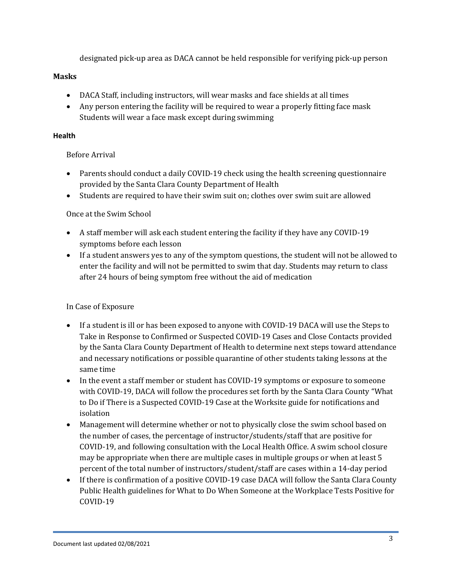designated pick-up area as DACA cannot be held responsible for verifying pick-up person

### **Masks**

- DACA Staff, including instructors, will wear masks and face shields at all times
- Any person entering the facility will be required to wear a properly fitting face mask Students will wear a face mask except during swimming

## **Health**

# Before Arrival

- Parents should conduct a daily COVID-19 check using the health screening questionnaire provided by the Santa Clara County Department of Health
- Students are required to have their swim suit on; clothes over swim suit are allowed

# Once at the Swim School

- A staff member will ask each student entering the facility if they have any COVID-19 symptoms before each lesson
- If a student answers yes to any of the symptom questions, the student will not be allowed to enter the facility and will not be permitted to swim that day. Students may return to class after 24 hours of being symptom free without the aid of medication

# In Case of Exposure

- If a student is ill or has been exposed to anyone with COVID-19 DACA will use the Steps to Take in Response to Confirmed or Suspected COVID-19 Cases and Close Contacts provided by the Santa Clara County Department of Health to determine next steps toward attendance and necessary notifications or possible quarantine of other students taking lessons at the same time
- In the event a staff member or student has COVID-19 symptoms or exposure to someone with COVID-19, DACA will follow the procedures set forth by the Santa Clara County "What to Do if There is a Suspected COVID-19 Case at the Worksite guide for notifications and isolation
- Management will determine whether or not to physically close the swim school based on the number of cases, the percentage of instructor/students/staff that are positive for COVID-19, and following consultation with the Local Health Office. A swim school closure may be appropriate when there are multiple cases in multiple groups or when at least 5 percent of the total number of instructors/student/staff are cases within a 14-day period
- If there is confirmation of a positive COVID-19 case DACA will follow the Santa Clara County Public Health guidelines for What to Do When Someone at the Workplace Tests Positive for COVID-19